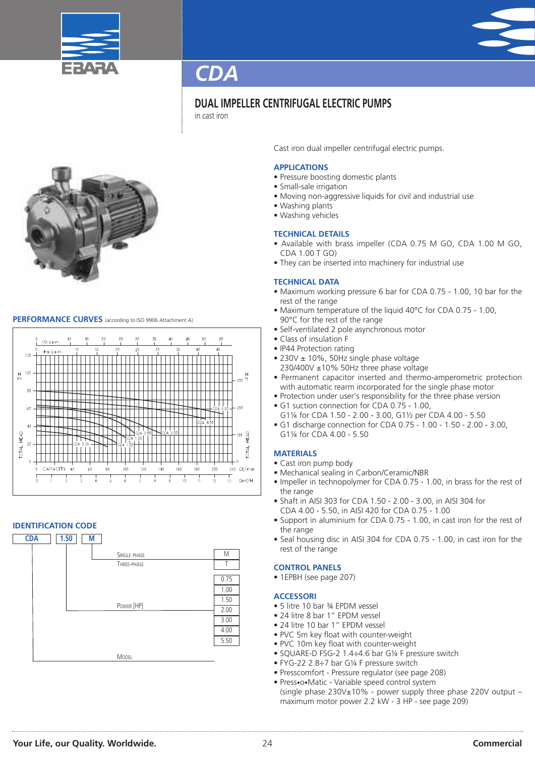



### **DUAL IMPELLER CENTRIFUGAL ELECTRIC PUMPS**

in cast iron



#### **PERFORMANCE CURVES** (according to ISO <sup>9906</sup> Attachment A)



#### **IDENTIFICATION CODE**



Cast iron dual impeller centrifugal electric pumps.

#### **APPLICATIONS**

- Pressure boosting domestic plants
- Small-sale irrigation
- Moving non-aggressive liquids for civil and industrial use
- Washing plants
- Washing vehicles

#### **TECHNICAL DETAILS**

- Available with brass impeller (CDA 0.75 M GO, CDA 1.00 M GO, CDA 1.00 T GO)
- They can be inserted into machinery for industrial use

#### **TECHNICAL DATA**

- Maximum working pressure 6 bar for CDA 0.75 1.00, 10 bar for the rest of the range
- Maximum temperature of the liquid 40°C for CDA 0.75 1.00, 90°C for the rest of the range
- Self-ventilated 2 pole asynchronous motor
- Class of insulation F
- IP44 Protection rating
- 230V ± 10%, 50Hz single phase voltage 230/400V ±10% 50Hz three phase voltage
- Permanent capacitor inserted and thermo-amperometric protection with automatic rearm incorporated for the single phase motor
- Protection under user's responsibility for the three phase version
- G1 suction connection for CDA 0.75 1.00,
- G1¼ for CDA 1.50 2.00 3.00, G1½ per CDA 4.00 5.50 • G1 discharge connection for CDA 0.75 - 1.00 - 1.50 - 2.00 - 3.00,
- G1¼ for CDA 4.00 5.50

#### **MATERIALS**

- Cast iron pump body
- Mechanical sealing in Carbon/Ceramic/NBR
- Impeller in technopolymer for CDA 0.75 1.00, in brass for the rest of the range
- Shaft in AISI 303 for CDA 1.50 2.00 3.00, in AISI 304 for CDA 4.00 - 5.50, in AISI 420 for CDA 0.75 - 1.00
- Support in aluminium for CDA 0.75 1.00, in cast iron for the rest of the range
- Seal housing disc in AISI 304 for CDA 0.75 1.00, in cast iron for the rest of the range

#### **CONTROL PANELS**

• 1EPBH (see page 207)

#### **ACCESSORI**

- 5 litre 10 bar ¾ EPDM vessel
- 24 litre 8 bar 1" EPDM vessel
- 24 litre 10 bar 1" EPDM vessel
- PVC 5m key float with counter-weight
- PVC 10m key float with counter-weight
- SQUARE-D FSG-2 1.4÷4.6 bar G¼ F pressure switch
- FYG-22 2.8÷7 bar G¼ F pressure switch
- Presscomfort Pressure regulator (see page 208)
- Press•o•Matic Variable speed control system (single phase 230V±10% - power supply three phase 220V output – maximum motor power 2.2 kW - 3 HP - see page 209)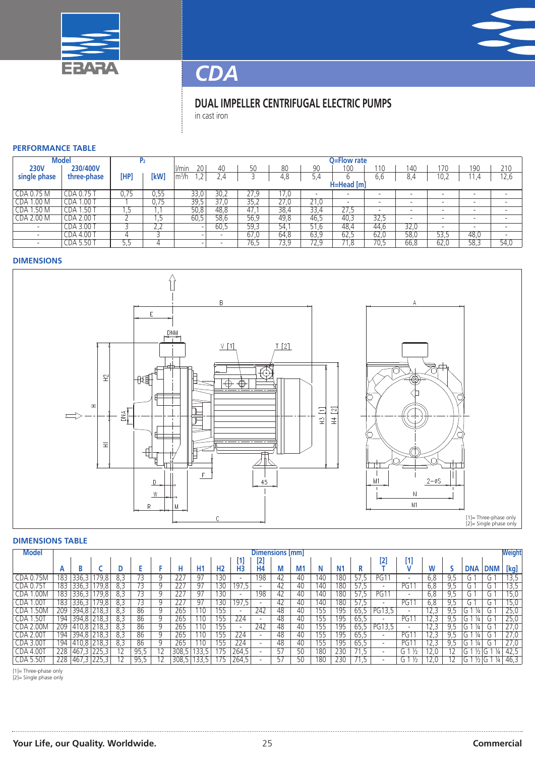



### **DUAL IMPELLER CENTRIFUGAL ELECTRIC PUMPS**

in cast iron

#### **PERFORMANCE TABLE**

| <b>Model</b>             |                           |      |                                   | O=Flow rate         |      |      |      |                                      |                          |                          |                          |                          |                          |                          |
|--------------------------|---------------------------|------|-----------------------------------|---------------------|------|------|------|--------------------------------------|--------------------------|--------------------------|--------------------------|--------------------------|--------------------------|--------------------------|
| <b>230V</b>              | 230/400V                  |      |                                   | 201<br><i>V</i> min | 40   | 50   | 80   | 90                                   | 100                      | 10                       | 140                      | 170                      | 190                      | 210                      |
| single phase             | three-phase               | [HP] | [kW                               | $\rm{lm^3/h}$       |      |      | 4,8  | 5.4                                  |                          | 6.b                      | 8.4                      | 10,2                     | .4                       | 12,6                     |
|                          |                           |      |                                   | H=Head [m]          |      |      |      |                                      |                          |                          |                          |                          |                          |                          |
| CDA 0.75 M               | CDA 0.75                  |      | 0.55                              | 33.0                | 30.2 | 77Q  | 17.0 |                                      |                          |                          | $\overline{\phantom{a}}$ |                          |                          |                          |
| 1.00 <sub>M</sub><br>.da | .00<br>CDA :              |      | 0.75                              | 39,5                | 37.0 | 35.2 | 27.0 | $\overline{\phantom{a}}$<br>.0<br>∠⊣ | $\overline{\phantom{0}}$ | $\overline{\phantom{0}}$ | $\overline{\phantom{a}}$ |                          |                          | $\overline{\phantom{a}}$ |
| 1.50 <sub>M</sub><br>CDA | 1.50T<br>CDA <sub>1</sub> | د.   |                                   | 50,8                | 48,8 | 47.  | 38,4 | 33,4                                 | 27.5                     | $\overline{\phantom{0}}$ | $\overline{\phantom{a}}$ | $\overline{\phantom{0}}$ | $\overline{\phantom{a}}$ | $\overline{\phantom{a}}$ |
| <b>CDA 2.00 M</b>        | CDA 2.00 T                |      |                                   | 60.5                | 58.6 | 56,9 | 49.8 | 46.5                                 | 40,3                     | 32,5                     | $\sim$                   | $\overline{\phantom{0}}$ | $\overline{\phantom{a}}$ | $\overline{\phantom{a}}$ |
|                          | CDA 3.00 T                |      | $\overline{\phantom{a}}$<br>ے ۔ ک |                     | 60,5 | 59.3 | 54.1 | 51.6                                 | 48,4                     | 44.6                     | 32,0                     | $\overline{\phantom{0}}$ | $\overline{\phantom{a}}$ | $\overline{\phantom{a}}$ |
|                          | CDA 4.00                  |      |                                   |                     |      | 67.0 | 64,8 | 63,9                                 | 62,5                     | 62,0                     | 58,0                     | 53,5                     | 48,0                     | $\overline{\phantom{a}}$ |
|                          | CDA 5.50                  | 55   |                                   |                     |      | 76.5 | 73,9 | 72.S                                 | 71,8                     | 70.5                     | 66.8                     | 62,0                     | 58,3                     | 54,0                     |

#### **DIMENSIONS**



#### **DIMENSIONS TABLE**

| <b>Model</b>     |       | Dimensions [mm] |               |      |      |  |       |                 |                |                |                          |     | <b>Weight</b>  |            |                |       |                          |                                 |      |     |            |            |      |
|------------------|-------|-----------------|---------------|------|------|--|-------|-----------------|----------------|----------------|--------------------------|-----|----------------|------------|----------------|-------|--------------------------|---------------------------------|------|-----|------------|------------|------|
|                  |       |                 |               |      |      |  |       |                 |                | U.             | $[2]$                    |     |                |            |                |       | [2]                      | [1]                             |      |     |            |            |      |
|                  | A     |                 |               |      |      |  | н     | H <sub>1</sub>  | H <sub>2</sub> | H <sub>3</sub> | H <sub>4</sub>           |     | M <sub>1</sub> |            | N <sub>1</sub> |       |                          |                                 |      |     | <b>DNA</b> | <b>DNM</b> | [kg] |
| CDA 0.75M        | 183   | 336,3           | 79,8          | 8.3  |      |  | 227   | 97              | 130            |                | 198                      | 42  | 40             | 140        | 180            | כ. וכ | PG1                      | $\overline{\phantom{0}}$        | 6,8  | 9.5 | G.         | G          | 13,5 |
| CDA 0.75T        | 183   | 336.3           | 79,8          | 8.3  | 73.  |  | 227   | $\overline{97}$ | 130            | 197,5          | $\overline{\phantom{0}}$ | 42  | 40             | 140        | 180            | 57.5  | $\overline{\phantom{0}}$ | PGT                             | 6,8  | 9.5 | G.         | G          | 13,5 |
| 1.00M<br>CDA.    | 183   | 336,3           | 79,8          | 8,3  |      |  | 227   | 97              | $130^-$        |                | 198                      | 42  | 40             | 140        | 180            | 57.5  | PG1                      | $\overline{\phantom{0}}$        | 6,8  | 9,5 | G.         | G          | 15,0 |
| 1.001<br>CDA     | 183   | 336,3           | 79,8          | 8,3  |      |  | 227   | -97             | 30             | 197,5          | $\overline{\phantom{a}}$ | 42  | 40             | 140        | 180            | 57.5  | $\overline{\phantom{a}}$ | PG1                             | 6,8  | 9.5 | G.         | G          | 15,0 |
| <b>CDA 1.50M</b> | 209   |                 | $394.8$ 218.3 | 8.3  | 86   |  | 265   | 110             | 155            |                | 242                      | 48  | 40             | 155        | 195            | 65.5  | PG13,5                   | $\overline{\phantom{a}}$        | 12.3 | 9.5 | ¼<br>G.    | G.         | 25,0 |
| <b>CDA 1.50T</b> | 194 I |                 | 394,8   218,3 | 8,3  | 86   |  | 265   | 110             | 155            | 224            | $\overline{\phantom{0}}$ | 48  | 40             | 155        | 195            | 65.5  | $\overline{\phantom{a}}$ | PG1                             | 12,3 | 9.5 | 1/4<br>G   | G.         | 25,0 |
| <b>CDA 2.00M</b> | 209   |                 | 410,8   218,3 | -8.3 | 86   |  | 265   | 110             | 155            |                | 242                      | 48  | 40             | 155        | 195            | 65.5  | PG13,5                   | $\overline{\phantom{0}}$        | 12,3 | 9.5 | ¼<br>G     | G          | 27.0 |
| <b>CDA 2.00T</b> | 194 I |                 | 394,8 218,3   | -8.3 | 86   |  | 265   | 110             | 155            | 224            | $\overline{\phantom{0}}$ | 48  | 40             | לל1        | 195            | 65.5  | $\overline{\phantom{a}}$ | PG1                             | 12.3 | 9.5 | ¼<br>.G    | L.         | 27.0 |
| <b>CDA 3.00T</b> | 194   |                 | 410,8 218,3   | -8.3 | 86   |  | 265   | 110             | 155            | 224            | $\overline{\phantom{a}}$ | -48 | 40             | לל1        | 195            | 65.5  | $\overline{\phantom{a}}$ | PG1                             | 12.3 | 9.5 | 1/4<br>G.  | L.         | 27.0 |
| <b>CDA 4.00T</b> | 228   | 467,3 225,3     |               |      | 95,5 |  | 308,5 | 33,5            |                | 264,5          |                          | 57  | 50             | 180        | 230            | ל.    | $\overline{\phantom{0}}$ | G <sup>1</sup><br>$\frac{1}{2}$ | 12,0 |     | G          | J.         | 42,5 |
| <b>CDA 5.50T</b> | 228   | 467,3 225,3     |               |      | 95.5 |  | 308.5 | 33.5            |                | 264,5          |                          | 57  | 50             | <b>180</b> | 230            |       | $\overline{\phantom{a}}$ | G 1<br>$\frac{1}{2}$            | 12.0 |     |            | ¼          | 46.3 |

[1]= Three-phase only [2]= Single phase only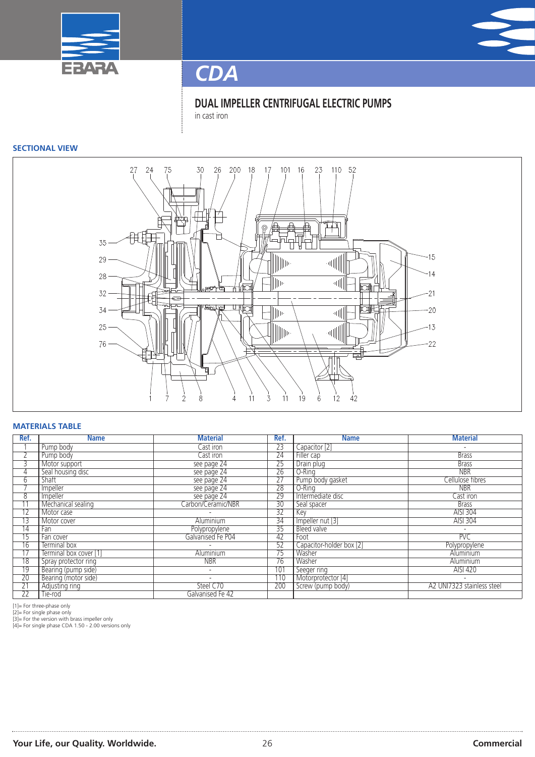



**DUAL IMPELLER CENTRIFUGAL ELECTRIC PUMPS** in cast iron

#### **SECTIONAL VIEW**



#### **MATERIALS TABLE**

| Ref.            | <b>Name</b>            | <b>Material</b>          | Ref.            | <b>Name</b>              | <b>Material</b>            |
|-----------------|------------------------|--------------------------|-----------------|--------------------------|----------------------------|
|                 | Pump body              | Cast iron                | $\overline{23}$ | Capacitor [2]            | $\overline{\phantom{a}}$   |
|                 | Pump body              | Cast iron                | $\overline{24}$ | Filler cap               | <b>Brass</b>               |
| 3               | Motor support          | see page 24              | $\overline{25}$ | Drain plug               | <b>Brass</b>               |
| 4               | Seal housing disc      | see page 24              | $\overline{26}$ | O-Rina                   | <b>NBR</b>                 |
| 6               | <b>Shaft</b>           | see page 24              | 27              | Pump body gasket         | Cellulose fibres           |
|                 | Impeller               | see page 24              | 28              | O-Ring                   | <b>NBR</b>                 |
| 8               | Impeller               | see page 24              | 29              | Intermediate disc        | Cast iron                  |
|                 | Mechanical sealing     | Carbon/Ceramic/NBR       | $\overline{30}$ | Seal spacer              | <b>Brass</b>               |
| $\overline{12}$ | Motor case             |                          | $\overline{32}$ | Key                      | <b>AISI 304</b>            |
| 13              | Motor cover            | Aluminium                | 34              | Impeller nut [3]         | AISI 304                   |
| 14              | Fan                    | Polypropylene            | 35              | Bleed valve              | $\overline{\phantom{0}}$   |
| $\overline{15}$ | Fan cover              | Galvanised Fe P04        | 42              | Foot                     | PVC                        |
| 16              | Terminal box           |                          | 52              | Capacitor-holder box [2] | Polypropylene              |
| 17              | Terminal box cover [1] | Aluminium                | 75              | Washer                   | Aluminium                  |
| 18              | Spray protector ring   | <b>NBR</b>               | 76              | Washer                   | Aluminium                  |
| 19              | Bearing (pump side)    | $\overline{\phantom{0}}$ | 101             | Seeger ring              | AISI 420                   |
| $\overline{20}$ | Bearing (motor side)   |                          | 110             | Motorprotector [4]       | $\overline{\phantom{a}}$   |
| $\overline{21}$ | Adjusting ring         | Steel C70                | 200             | Screw (pump body)        | A2 UNI7323 stainless steel |
| $\overline{22}$ | lie-rod                | Galvanised Fe 42         |                 |                          |                            |

[1]= For three-phase only

[2]= For single phase only [3]= For the version with brass impeller only [4]= For single phase CDA 1.50 - 2.00 versions only